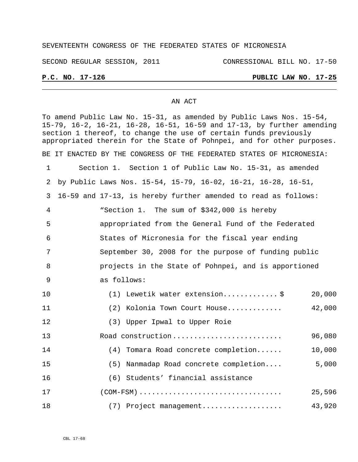## SEVENTEENTH CONGRESS OF THE FEDERATED STATES OF MICRONESIA

SECOND REGULAR SESSION, 2011 CONRESSIONAL BILL NO. 17-50

# **P.C. NO. 17-126 PUBLIC LAW NO. 17-25**

### AN ACT

To amend Public Law No. 15-31, as amended by Public Laws Nos. 15-54, 15-79, 16-2, 16-21, 16-28, 16-51, 16-59 and 17-13, by further amending section 1 thereof, to change the use of certain funds previously appropriated therein for the State of Pohnpei, and for other purposes. BE IT ENACTED BY THE CONGRESS OF THE FEDERATED STATES OF MICRONESIA: Section 1. Section 1 of Public Law No. 15-31, as amended by Public Laws Nos. 15-54, 15-79, 16-02, 16-21, 16-28, 16-51, 16-59 and 17-13, is hereby further amended to read as follows: "Section 1. The sum of \$342,000 is hereby appropriated from the General Fund of the Federated States of Micronesia for the fiscal year ending September 30, 2008 for the purpose of funding public projects in the State of Pohnpei, and is apportioned as follows: (1) Lewetik water extension............. \$ 20,000 (2) Kolonia Town Court House............. 42,000 (3) Upper Ipwal to Upper Roie Road construction.......................... 96,080 (4) Tomara Road concrete completion...... 10,000 (5) Nanmadap Road concrete completion.... 5,000 (6) Students' financial assistance (COM-FSM) .................................. 25,596 (7) Project management................... 43,920